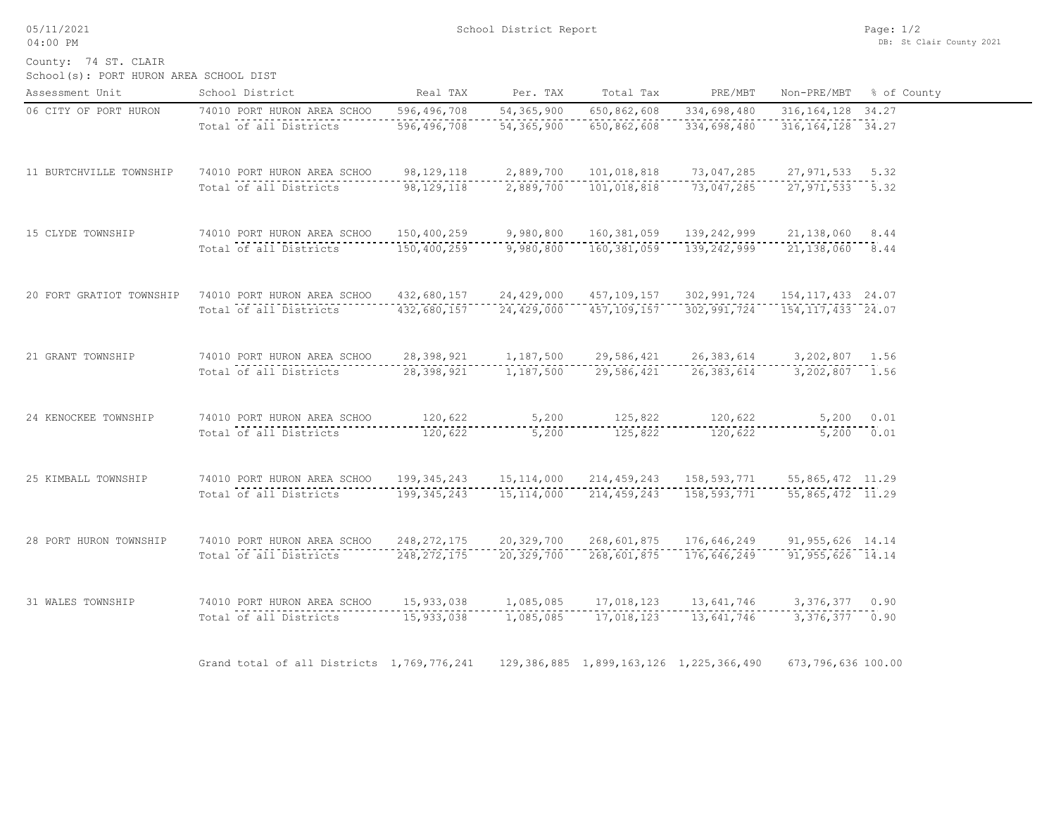05/11/2021 04:00 PM

County: 74 ST. CLAIR

| School(s): PORT HURON AREA SCHOOL DIST |  |  |  |  |  |
|----------------------------------------|--|--|--|--|--|
|----------------------------------------|--|--|--|--|--|

| Assessment Unit          | School District                            | Real TAX      | Per. TAX     | Total Tax                                       | PRE/MBT                     | Non-PRE/MBT          | % of County |
|--------------------------|--------------------------------------------|---------------|--------------|-------------------------------------------------|-----------------------------|----------------------|-------------|
| 06 CITY OF PORT HURON    | 74010 PORT HURON AREA SCHOO                | 596,496,708   | 54, 365, 900 | 650,862,608                                     | 334,698,480                 | 316, 164, 128 34. 27 |             |
|                          | Total of all Districts                     | 596, 496, 708 | 54,365,900   | 650,862,608                                     | 334,698,480                 | 316, 164, 128 34. 27 |             |
| 11 BURTCHVILLE TOWNSHIP  | 74010 PORT HURON AREA SCHOO                | 98, 129, 118  | 2,889,700    | 101,018,818                                     | 73,047,285                  | 27,971,533 5.32      |             |
|                          | Total of all Districts                     | 98, 129, 118  | 2,889,700    | 101,018,818                                     | 73,047,285                  | 27,971,533 5.32      |             |
| 15 CLYDE TOWNSHIP        | 74010 PORT HURON AREA SCHOO                | 150,400,259   | 9,980,800    | 160,381,059                                     | 139,242,999                 | 21, 138, 060 8.44    |             |
|                          | Total of all Districts                     | 150,400,259   | 9,980,800    | 160,381,059                                     | 139,242,999                 | 21, 138, 060 8.44    |             |
| 20 FORT GRATIOT TOWNSHIP | 74010 PORT HURON AREA SCHOO                | 432,680,157   | 24,429,000   | 457,109,157                                     | 302,991,724                 | 154, 117, 433 24.07  |             |
|                          | Total of all Districts                     | 432,680,157   | 24,429,000   | 457, 109, 157                                   | 302,991,724                 | 154, 117, 433 24.07  |             |
| 21 GRANT TOWNSHIP        | 74010 PORT HURON AREA SCHOO                | 28,398,921    | 1,187,500    | 29,586,421                                      | 26,383,614                  | 3,202,807 1.56       |             |
|                          | Total of all Districts                     | 28,398,921    | 1,187,500    | 29,586,421                                      | 26,383,614                  | 3,202,807 1.56       |             |
| 24 KENOCKEE TOWNSHIP     | 74010 PORT HURON AREA SCHOO                | 120,622       | 5,200        | 125,822                                         | 120,622                     | 5,200 0.01           |             |
|                          | Total of all Districts                     | 120,622       | 5,200        | 125,822                                         | 120,622                     | 5,200 0.01           |             |
| 25 KIMBALL TOWNSHIP      | 74010 PORT HURON AREA SCHOO                | 199,345,243   | 15, 114, 000 |                                                 | 214, 459, 243 158, 593, 771 | 55,865,472 11.29     |             |
|                          | Total of all Districts                     | 199, 345, 243 | 15, 114, 000 | 214, 459, 243                                   |                             | 55,865,472 11.29     |             |
| 28 PORT HURON TOWNSHIP   | 74010 PORT HURON AREA SCHOO                | 248, 272, 175 | 20,329,700   | 268,601,875                                     | 176,646,249                 | 91, 955, 626 14.14   |             |
|                          | Total of all Districts                     | 248, 272, 175 | 20,329,700   | 268,601,875                                     | 176,646,249                 | $91, 955, 626$ 14.14 |             |
| 31 WALES TOWNSHIP        | 74010 PORT HURON AREA SCHOO                | 15,933,038    | 1,085,085    | 17,018,123                                      | 13,641,746                  | 3,376,377 0.90       |             |
|                          | Total of all Districts                     | 15,933,038    | 1,085,085    | 17,018,123                                      | 13,641,746                  | 3,376,377 0.90       |             |
|                          | Grand total of all Districts 1,769,776,241 |               |              | 129, 386, 885 1, 899, 163, 126 1, 225, 366, 490 |                             | 673,796,636 100.00   |             |